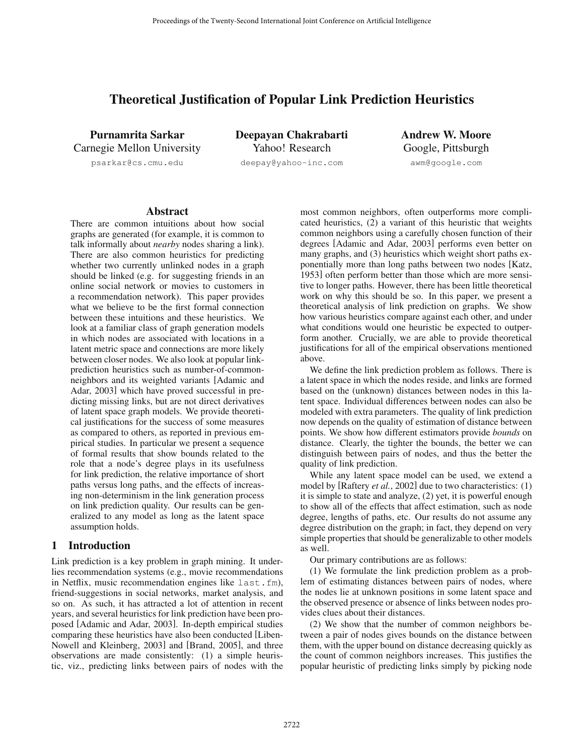# Theoretical Justification of Popular Link Prediction Heuristics

Purnamrita Sarkar Carnegie Mellon University

psarkar@cs.cmu.edu

Deepayan Chakrabarti Yahoo! Research deepay@yahoo-inc.com

Andrew W. Moore Google, Pittsburgh awm@google.com

## **Abstract**

There are common intuitions about how social graphs are generated (for example, it is common to talk informally about *nearby* nodes sharing a link). There are also common heuristics for predicting whether two currently unlinked nodes in a graph should be linked (e.g. for suggesting friends in an online social network or movies to customers in a recommendation network). This paper provides what we believe to be the first formal connection between these intuitions and these heuristics. We look at a familiar class of graph generation models in which nodes are associated with locations in a latent metric space and connections are more likely between closer nodes. We also look at popular linkprediction heuristics such as number-of-commonneighbors and its weighted variants [Adamic and Adar, 2003] which have proved successful in predicting missing links, but are not direct derivatives of latent space graph models. We provide theoretical justifications for the success of some measures as compared to others, as reported in previous empirical studies. In particular we present a sequence of formal results that show bounds related to the role that a node's degree plays in its usefulness for link prediction, the relative importance of short paths versus long paths, and the effects of increasing non-determinism in the link generation process on link prediction quality. Our results can be generalized to any model as long as the latent space assumption holds.

# 1 Introduction

Link prediction is a key problem in graph mining. It underlies recommendation systems (e.g., movie recommendations in Netflix, music recommendation engines like last.fm), friend-suggestions in social networks, market analysis, and so on. As such, it has attracted a lot of attention in recent years, and several heuristics for link prediction have been proposed [Adamic and Adar, 2003]. In-depth empirical studies comparing these heuristics have also been conducted [Liben-Nowell and Kleinberg, 2003] and [Brand, 2005], and three observations are made consistently: (1) a simple heuristic, viz., predicting links between pairs of nodes with the most common neighbors, often outperforms more complicated heuristics, (2) a variant of this heuristic that weights common neighbors using a carefully chosen function of their degrees [Adamic and Adar, 2003] performs even better on many graphs, and (3) heuristics which weight short paths exponentially more than long paths between two nodes [Katz, 1953] often perform better than those which are more sensitive to longer paths. However, there has been little theoretical work on why this should be so. In this paper, we present a theoretical analysis of link prediction on graphs. We show how various heuristics compare against each other, and under what conditions would one heuristic be expected to outperform another. Crucially, we are able to provide theoretical justifications for all of the empirical observations mentioned above.

We define the link prediction problem as follows. There is a latent space in which the nodes reside, and links are formed based on the (unknown) distances between nodes in this latent space. Individual differences between nodes can also be modeled with extra parameters. The quality of link prediction now depends on the quality of estimation of distance between points. We show how different estimators provide *bounds* on distance. Clearly, the tighter the bounds, the better we can distinguish between pairs of nodes, and thus the better the quality of link prediction.

While any latent space model can be used, we extend a model by [Raftery *et al.*, 2002] due to two characteristics: (1) it is simple to state and analyze, (2) yet, it is powerful enough to show all of the effects that affect estimation, such as node degree, lengths of paths, etc. Our results do not assume any degree distribution on the graph; in fact, they depend on very simple properties that should be generalizable to other models as well.

Our primary contributions are as follows:

(1) We formulate the link prediction problem as a problem of estimating distances between pairs of nodes, where the nodes lie at unknown positions in some latent space and the observed presence or absence of links between nodes provides clues about their distances.

(2) We show that the number of common neighbors between a pair of nodes gives bounds on the distance between them, with the upper bound on distance decreasing quickly as the count of common neighbors increases. This justifies the popular heuristic of predicting links simply by picking node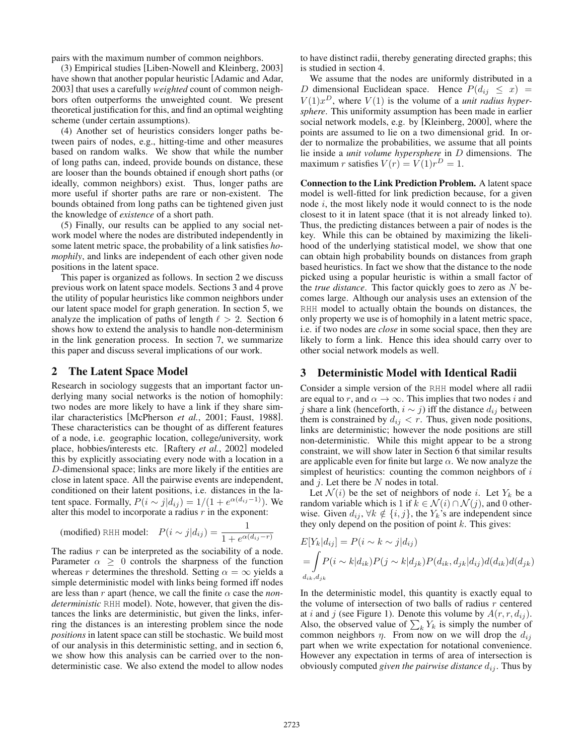pairs with the maximum number of common neighbors.

(3) Empirical studies [Liben-Nowell and Kleinberg, 2003] have shown that another popular heuristic [Adamic and Adar, 2003] that uses a carefully *weighted* count of common neighbors often outperforms the unweighted count. We present theoretical justification for this, and find an optimal weighting scheme (under certain assumptions).

(4) Another set of heuristics considers longer paths between pairs of nodes, e.g., hitting-time and other measures based on random walks. We show that while the number of long paths can, indeed, provide bounds on distance, these are looser than the bounds obtained if enough short paths (or ideally, common neighbors) exist. Thus, longer paths are more useful if shorter paths are rare or non-existent. The bounds obtained from long paths can be tightened given just the knowledge of *existence* of a short path.

(5) Finally, our results can be applied to any social network model where the nodes are distributed independently in some latent metric space, the probability of a link satisfies *homophily*, and links are independent of each other given node positions in the latent space.

This paper is organized as follows. In section 2 we discuss previous work on latent space models. Sections 3 and 4 prove the utility of popular heuristics like common neighbors under our latent space model for graph generation. In section 5, we analyze the implication of paths of length  $\ell > 2$ . Section 6 shows how to extend the analysis to handle non-determinism in the link generation process. In section 7, we summarize this paper and discuss several implications of our work.

## 2 The Latent Space Model

Research in sociology suggests that an important factor underlying many social networks is the notion of homophily: two nodes are more likely to have a link if they share similar characteristics [McPherson *et al.*, 2001; Faust, 1988]. These characteristics can be thought of as different features of a node, i.e. geographic location, college/university, work place, hobbies/interests etc. [Raftery *et al.*, 2002] modeled this by explicitly associating every node with a location in a D-dimensional space; links are more likely if the entities are close in latent space. All the pairwise events are independent, conditioned on their latent positions, i.e. distances in the latent space. Formally,  $P(i \sim j|d_{ij}) = 1/(1 + e^{\alpha(d_{ij}-1)})$ . We alter this model to incorporate a radius  $r$  in the exponent:

(modified) RHH model: 
$$
P(i \sim j | d_{ij}) = \frac{1}{1 + e^{\alpha(d_{ij} - r)}}
$$

The radius  $r$  can be interpreted as the sociability of a node. Parameter  $\alpha \geq 0$  controls the sharpness of the function whereas r determines the threshold. Setting  $\alpha = \infty$  yields a simple deterministic model with links being formed iff nodes are less than r apart (hence, we call the finite  $\alpha$  case the *nondeterministic* RHH model). Note, however, that given the distances the links are deterministic, but given the links, inferring the distances is an interesting problem since the node *positions* in latent space can still be stochastic. We build most of our analysis in this deterministic setting, and in section 6, we show how this analysis can be carried over to the nondeterministic case. We also extend the model to allow nodes to have distinct radii, thereby generating directed graphs; this is studied in section 4.

We assume that the nodes are uniformly distributed in a D dimensional Euclidean space. Hence  $P(d_{ij} \leq x)$  $V(1)x^D$ , where  $V(1)$  is the volume of a *unit radius hypersphere*. This uniformity assumption has been made in earlier social network models, e.g. by [Kleinberg, 2000], where the points are assumed to lie on a two dimensional grid. In order to normalize the probabilities, we assume that all points lie inside a *unit volume hypersphere* in D dimensions. The maximum r satisfies  $V(r) = V(1)r^D = 1$ .

Connection to the Link Prediction Problem. A latent space model is well-fitted for link prediction because, for a given node  $i$ , the most likely node it would connect to is the node closest to it in latent space (that it is not already linked to). Thus, the predicting distances between a pair of nodes is the key. While this can be obtained by maximizing the likelihood of the underlying statistical model, we show that one can obtain high probability bounds on distances from graph based heuristics. In fact we show that the distance to the node picked using a popular heuristic is within a small factor of the *true distance*. This factor quickly goes to zero as N becomes large. Although our analysis uses an extension of the RHH model to actually obtain the bounds on distances, the only property we use is of homophily in a latent metric space, i.e. if two nodes are *close* in some social space, then they are likely to form a link. Hence this idea should carry over to other social network models as well.

# 3 Deterministic Model with Identical Radii

Consider a simple version of the RHH model where all radii are equal to r, and  $\alpha \to \infty$ . This implies that two nodes i and j share a link (henceforth,  $i \sim j$ ) iff the distance  $d_{ij}$  between them is constrained by  $d_{ij} < r$ . Thus, given node positions, links are deterministic; however the node positions are still non-deterministic. While this might appear to be a strong constraint, we will show later in Section 6 that similar results are applicable even for finite but large  $\alpha$ . We now analyze the simplest of heuristics: counting the common neighbors of  $i$ and  $j$ . Let there be  $N$  nodes in total.

Let  $\mathcal{N}(i)$  be the set of neighbors of node i. Let  $Y_k$  be a random variable which is 1 if  $k \in \mathcal{N}(i) \cap \mathcal{N}(j)$ , and 0 otherwise. Given  $d_{ij}$ ,  $\forall k \notin \{i, j\}$ , the  $Y_k$ 's are independent since they only depend on the position of point  $k$ . This gives:

$$
E[Y_k|d_{ij}] = P(i \sim k \sim j|d_{ij})
$$
  
= 
$$
\int_{d_{ik}, d_{jk}} P(i \sim k|d_{ik}) P(j \sim k|d_{jk}) P(d_{ik}, d_{jk}|d_{ij}) d(d_{ik}) d(d_{jk})
$$
  

$$
d_{ik}, d_{jk}
$$

In the deterministic model, this quantity is exactly equal to the volume of intersection of two balls of radius  $r$  centered at i and j (see Figure 1). Denote this volume by  $A(r, r, d_{ij})$ . Also, the observed value of  $\sum_k Y_k$  is simply the number of common neighbors  $\eta$ . From now on we will drop the  $d_{ij}$ part when we write expectation for notational convenience. However any expectation in terms of area of intersection is obviously computed *given the pairwise distance*  $d_{ij}$ . Thus by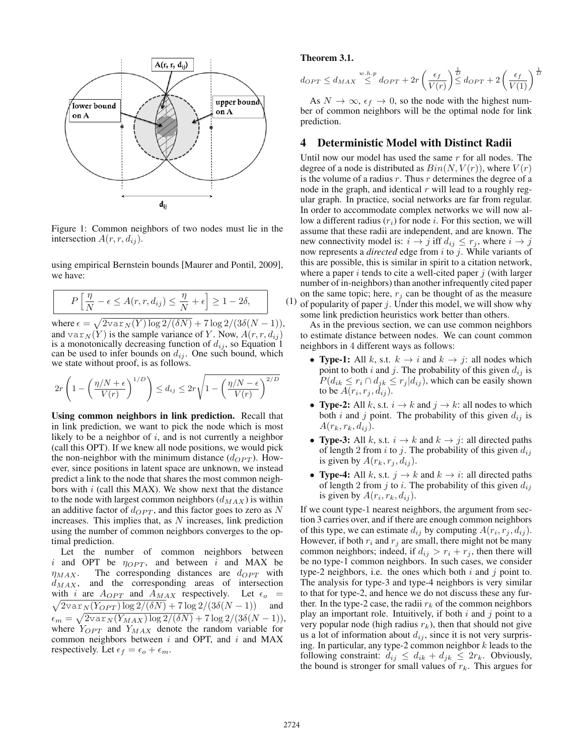

Figure 1: Common neighbors of two nodes must lie in the intersection  $A(r, r, d_{ij})$ .

using empirical Bernstein bounds [Maurer and Pontil, 2009], we have:

$$
P\left[\frac{\eta}{N} - \epsilon \le A(r, r, d_{ij}) \le \frac{\eta}{N} + \epsilon\right] \ge 1 - 2\delta,
$$
 (1)

where  $\epsilon = \sqrt{2v\ar_{N}(Y) \log 2/(\delta N) + 7 \log 2/(3\delta(N-1))}$ , and  $var_N(Y)$  is the sample variance of Y. Now,  $A(r, r, d_{ij})$ is a monotonically decreasing function of  $d_{ij}$ , so Equation 1 can be used to infer bounds on  $d_{ij}$ . One such bound, which we state without proof, is as follows.

$$
2r\left(1-\left(\frac{\eta/N+\epsilon}{V(r)}\right)^{1/D}\right) \le d_{ij} \le 2r\sqrt{1-\left(\frac{\eta/N-\epsilon}{V(r)}\right)^{2/D}}
$$

Using common neighbors in link prediction. Recall that in link prediction, we want to pick the node which is most likely to be a neighbor of  $i$ , and is not currently a neighbor (call this OPT). If we knew all node positions, we would pick the non-neighbor with the minimum distance  $(d_{OPT})$ . However, since positions in latent space are unknown, we instead predict a link to the node that shares the most common neighbors with  $i$  (call this MAX). We show next that the distance to the node with largest common neighbors  $(d_{MAX})$  is within an additive factor of  $d_{OPT}$ , and this factor goes to zero as N increases. This implies that, as  $N$  increases, link prediction using the number of common neighbors converges to the optimal prediction.

Let the number of common neighbors between i and OPT be  $\eta_{OPT}$ , and between i and MAX be  $\eta_{MAX}$ . The corresponding distances are  $d_{OPT}$  with  $d_{MAX}$ , and the corresponding areas of intersection with i are  $A_{OPT}$  and  $A_{MAX}$  respectively. Let  $\epsilon_o$  =  $\sqrt{2 \text{var}_N(Y_{OPT}) \log 2/(\delta N)} + 7 \log 2/(3\delta(N-1))$  and  $\epsilon_m = \sqrt{2 \text{var}_N(Y_{MAX}) \log 2/(\delta N)} + 7 \log 2/(3\delta(N-1)),$ where  $Y_{OPT}$  and  $Y_{MAX}$  denote the random variable for common neighbors between  $i$  and OPT, and  $i$  and MAX respectively. Let  $\epsilon_f = \epsilon_o + \epsilon_m$ .

#### Theorem 3.1.

$$
d_{OPT} \le d_{MAX} \overset{w.h.p}{\le} d_{OPT} + 2r \left(\frac{\epsilon_f}{V(r)}\right)^{\frac{1}{D}} d_{OPT} + 2 \left(\frac{\epsilon_f}{V(1)}\right)^{\frac{1}{D}}
$$

As  $N \to \infty$ ,  $\epsilon_f \to 0$ , so the node with the highest number of common neighbors will be the optimal node for link prediction.

## 4 Deterministic Model with Distinct Radii

Until now our model has used the same  $r$  for all nodes. The degree of a node is distributed as  $Bin(N, V(r))$ , where  $V(r)$ is the volume of a radius  $r$ . Thus  $r$  determines the degree of a node in the graph, and identical  $r$  will lead to a roughly regular graph. In practice, social networks are far from regular. In order to accommodate complex networks we will now allow a different radius  $(r_i)$  for node i. For this section, we will assume that these radii are independent, and are known. The new connectivity model is:  $i \rightarrow j$  iff  $d_{ij} \leq r_j$ , where  $i \rightarrow j$ now represents a *directed* edge from i to j. While variants of this are possible, this is similar in spirit to a citation network, where a paper  $i$  tends to cite a well-cited paper  $j$  (with larger number of in-neighbors) than another infrequently cited paper on the same topic; here,  $r_i$  can be thought of as the measure of popularity of paper  $j$ . Under this model, we will show why some link prediction heuristics work better than others.

As in the previous section, we can use common neighbors to estimate distance between nodes. We can count common neighbors in 4 different ways as follows:

- Type-1: All k, s.t.  $k \to i$  and  $k \to j$ : all nodes which point to both i and j. The probability of this given  $d_{ij}$  is  $P(d_{ik} \leq r_i \cap d_{jk} \leq r_j | d_{ij})$ , which can be easily shown to be  $A(r_i, r_j, d_{ij})$ .
- Type-2: All k, s.t.  $i \rightarrow k$  and  $j \rightarrow k$ : all nodes to which both i and j point. The probability of this given  $d_{ij}$  is  $A(r_k, r_k, d_{ij}).$
- Type-3: All k, s.t.  $i \rightarrow k$  and  $k \rightarrow j$ : all directed paths of length 2 from i to j. The probability of this given  $d_{ij}$ is given by  $A(r_k, r_j, d_{ij}).$
- Type-4: All k, s.t.  $j \rightarrow k$  and  $k \rightarrow i$ : all directed paths of length 2 from j to i. The probability of this given  $d_{ij}$ is given by  $A(r_i, r_k, d_{ij})$ .

If we count type-1 nearest neighbors, the argument from section 3 carries over, and if there are enough common neighbors of this type, we can estimate  $d_{ij}$  by computing  $A(r_i, r_j, d_{ij})$ . However, if both  $r_i$  and  $r_j$  are small, there might not be many common neighbors; indeed, if  $d_{ij} > r_i + r_j$ , then there will be no type-1 common neighbors. In such cases, we consider type-2 neighbors, i.e. the ones which both  $i$  and  $j$  point to. The analysis for type-3 and type-4 neighbors is very similar to that for type-2, and hence we do not discuss these any further. In the type-2 case, the radii  $r_k$  of the common neighbors play an important role. Intuitively, if both  $i$  and  $j$  point to a very popular node (high radius  $r_k$ ), then that should not give us a lot of information about  $d_{ij}$ , since it is not very surprising. In particular, any type-2 common neighbor  $k$  leads to the following constraint:  $d_{ij} \leq d_{ik} + d_{jk} \leq 2r_k$ . Obviously, the bound is stronger for small values of  $r_k$ . This argues for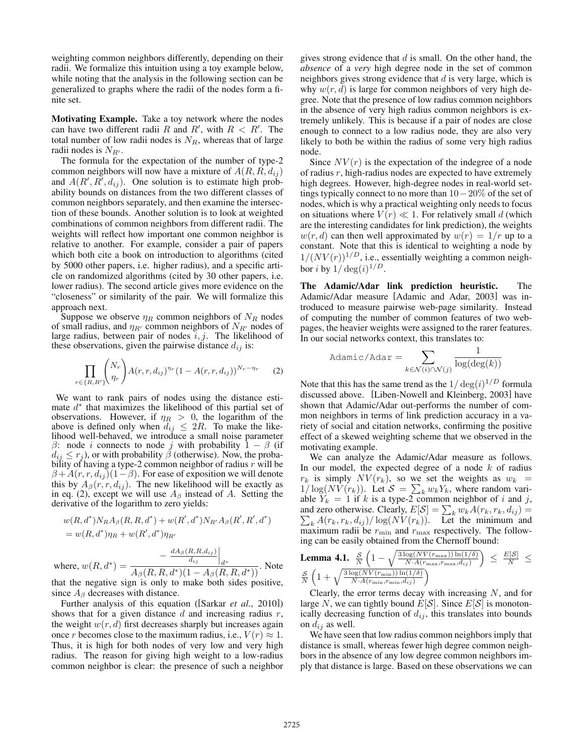weighting common neighbors differently, depending on their radii. We formalize this intuition using a toy example below, while noting that the analysis in the following section can be generalized to graphs where the radii of the nodes form a finite set.

Motivating Example. Take a toy network where the nodes can have two different radii R and R', with  $R < R'$ . The total number of low radii nodes is  $N_R$ , whereas that of large radii nodes is  $N_{R'}$ .

The formula for the expectation of the number of type-2 common neighbors will now have a mixture of  $A(R, R, d_{ij})$ and  $A(R', R', d_{ij})$ . One solution is to estimate high probability bounds on distances from the two different classes of common neighbors separately, and then examine the intersection of these bounds. Another solution is to look at weighted combinations of common neighbors from different radii. The weights will reflect how important one common neighbor is relative to another. For example, consider a pair of papers which both cite a book on introduction to algorithms (cited by 5000 other papers, i.e. higher radius), and a specific article on randomized algorithms (cited by 30 other papers, i.e. lower radius). The second article gives more evidence on the "closeness" or similarity of the pair. We will formalize this approach next.

Suppose we observe  $\eta_R$  common neighbors of  $N_R$  nodes of small radius, and  $\eta_{R'}$  common neighbors of  $N_{R'}$  nodes of large radius, between pair of nodes  $i, j$ . The likelihood of these observations, given the pairwise distance  $d_{ij}$  is:

$$
\prod_{r \in \{R,R'\}} \binom{N_r}{\eta_r} A(r,r,d_{ij})^{\eta_r} (1 - A(r,r,d_{ij}))^{N_r - \eta_r} \tag{2}
$$

We want to rank pairs of nodes using the distance estimate  $d^*$  that maximizes the likelihood of this partial set of observations. However, if  $\eta_R > 0$ , the logarithm of the above is defined only when  $d_{ij} \leq 2R$ . To make the like-<br>lihood well-behaved, we introduce a small noise parameter β: node *i* connects to node *j* with probability  $\hat{1} - \beta$  (if  $d_{ij} \leq r_j$ ), or with probability  $\beta$  (otherwise). Now, the probability of having a type-2 common neighbor of radius  $r$  will be  $\beta + A(r, r, d_{ij})$  $(1-\beta)$ . For ease of exposition we will denote this by  $A_\beta(r, r, d_{ij})$ . The new likelihood will be exactly as in eq. (2), except we will use  $A_\beta$  instead of A. Setting the derivative of the logarithm to zero yields:

$$
w(R, d^*)N_R A_\beta(R, R, d^*) + w(R', d^*)N_{R'} A_\beta(R', R', d^*)
$$
  
= 
$$
w(R, d^*)\eta_R + w(R', d^*)\eta_{R'}
$$

where,  $w(R, d^*) = \frac{\frac{dA_\beta(R, R, d_{ij})}{d_{ij}}}{A_\beta(R, R, d^*)(1 - A_\beta(R, R, d^*))}$ . Note that the negative sign is only to make both sides positive, since  $A_\beta$  decreases with distance.

Further analysis of this equation ([Sarkar *et al.*, 2010]) shows that for a given distance  $d$  and increasing radius  $r$ , the weight  $w(r, d)$  first decreases sharply but increases again once r becomes close to the maximum radius, i.e.,  $V(r) \approx 1$ . Thus, it is high for both nodes of very low and very high radius. The reason for giving high weight to a low-radius common neighbor is clear: the presence of such a neighbor gives strong evidence that  $d$  is small. On the other hand, the *absence* of a *very* high degree node in the set of common neighbors gives strong evidence that  $d$  is very large, which is why  $w(r, d)$  is large for common neighbors of very high degree. Note that the presence of low radius common neighbors in the absence of very high radius common neighbors is extremely unlikely. This is because if a pair of nodes are close enough to connect to a low radius node, they are also very likely to both be within the radius of some very high radius node.

Since  $NV(r)$  is the expectation of the indegree of a node of radius r, high-radius nodes are expected to have extremely high degrees. However, high-degree nodes in real-world settings typically connect to no more than 10−20% of the set of nodes, which is why a practical weighting only needs to focus on situations where  $V(r) \ll 1$ . For relatively small d (which are the interesting candidates for link prediction), the weights  $w(r, d)$  can then well approximated by  $w(r) = 1/r$  up to a constant. Note that this is identical to weighting a node by  $1/(NV(r))^{1/D}$ , i.e., essentially weighting a common neighbor i by  $1/ \deg(i)^{1/D}$ .

The Adamic/Adar link prediction heuristic. The Adamic/Adar measure [Adamic and Adar, 2003] was introduced to measure pairwise web-page similarity. Instead of computing the number of common features of two webpages, the heavier weights were assigned to the rarer features. In our social networks context, this translates to:

$$
\text{Adamic/Adar} = \sum_{k \in \mathcal{N}(i) \cap \mathcal{N}(j)} \frac{1}{\log(\deg(k))}
$$

Note that this has the same trend as the  $1/\deg(i)^{1/D}$  formula discussed above. [Liben-Nowell and Kleinberg, 2003] have shown that Adamic/Adar out-performs the number of common neighbors in terms of link prediction accuracy in a variety of social and citation networks, confirming the positive effect of a skewed weighting scheme that we observed in the motivating example.

We can analyze the Adamic/Adar measure as follows. In our model, the expected degree of a node  $k$  of radius  $r_k$  is simply  $NV(r_k)$ , so we set the weights as  $w_k =$  $1/\log(NV(r_k))$ . Let  $S = \sum_k w_k Y_k$ , where random variable  $Y_k = 1$  if k is a type-2 common neighbor of i and j, and zero otherwise. Clearly,  $E[S] = \sum_{k} A(r_k, r_k, d_{ij}) / \log(NV(r_k))$ . Le  $k w_k A(r_k, r_k, d_{ij}) =$  $_{k} A(r_{k}, r_{k}, d_{ij}) / \log(NV(r_{k}))$ . Let the minimum and maximum radii be  $r_{\min}$  and  $r_{\max}$  respectively. The following can be easily obtained from the Chernoff bound:

**Lemma 4.1.** 
$$
\frac{\mathcal{S}}{N} \left(1 - \sqrt{\frac{3 \log (N V(r_{\max})) \ln(1/\delta)}{N \cdot A(r_{\max}, r_{\max}, d_{ij})}}\right) \leq \frac{E[\mathcal{S}]}{N} \leq \frac{\mathcal{S}}{N} \left(1 + \sqrt{\frac{3 \log (N V(r_{\min})) \ln(1/\delta)}{N \cdot A(r_{\min}, r_{\min}, d_{ij})}}\right)
$$

Clearly, the error terms decay with increasing  $N$ , and for large N, we can tightly bound  $E[S]$ . Since  $E[S]$  is monotonically decreasing function of  $d_{ij}$ , this translates into bounds on  $d_{ij}$  as well.

We have seen that low radius common neighbors imply that distance is small, whereas fewer high degree common neighbors in the absence of any low degree common neighbors imply that distance is large. Based on these observations we can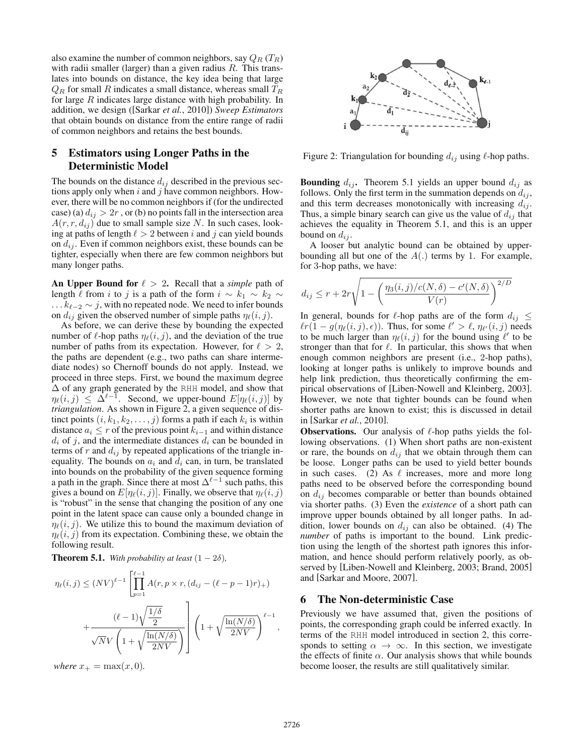also examine the number of common neighbors, say  $Q_R$  (T<sub>R</sub>) with radii smaller (larger) than a given radius  $R$ . This translates into bounds on distance, the key idea being that large  $Q_R$  for small R indicates a small distance, whereas small  $T_R$ for large  $R$  indicates large distance with high probability. In addition, we design ([Sarkar *et al.*, 2010]) *Sweep Estimators* that obtain bounds on distance from the entire range of radii of common neighbors and retains the best bounds.

# 5 Estimators using Longer Paths in the Deterministic Model

The bounds on the distance  $d_{ij}$  described in the previous sections apply only when  $i$  and  $j$  have common neighbors. However, there will be no common neighbors if (for the undirected case) (a)  $d_{ij} > 2r$ , or (b) no points fall in the intersection area  $A(r, r, d_{ij})$  due to small sample size N. In such cases, looking at paths of length  $\ell > 2$  between i and j can yield bounds on  $d_{ij}$ . Even if common neighbors exist, these bounds can be tighter, especially when there are few common neighbors but many longer paths.

An Upper Bound for  $\ell > 2$ . Recall that a *simple* path of length  $\ell$  from i to j is a path of the form  $i \sim k_1 \sim k_2 \sim k_2 \sim k_1 \sim k_1$  $\dots k_{\ell-2} \sim j$ , with no repeated node. We need to infer bounds on  $d_{ij}$  given the observed number of simple paths  $\eta_{\ell}(i, j)$ .

As before, we can derive these by bounding the expected number of  $\ell$ -hop paths  $\eta_{\ell}(i, j)$ , and the deviation of the true number of paths from its expectation. However, for  $\ell > 2$ , the paths are dependent (e.g., two paths can share intermediate nodes) so Chernoff bounds do not apply. Instead, we proceed in three steps. First, we bound the maximum degree Δ of any graph generated by the RHH model, and show that  $\eta_{\ell}(i,j) \leq \Delta^{\ell-1}$ . Second, we upper-bound  $E[\eta_{\ell}(i,j)]$  by *triangulation*. As shown in Figure 2, a given sequence of distinct points  $(i, k_1, k_2, \ldots, j)$  forms a path if each  $k_i$  is within distance  $a_i \leq r$  of the previous point  $k_{i-1}$  and within distance  $d_i$  of j, and the intermediate distances  $d_i$  can be bounded in terms of r and  $d_{ij}$  by repeated applications of the triangle inequality. The bounds on  $a_i$  and  $d_i$  can, in turn, be translated into bounds on the probability of the given sequence forming a path in the graph. Since there at most  $\Delta^{\ell-1}$  such paths, this gives a bound on  $E[\eta_\ell(i, j)]$ . Finally, we observe that  $\eta_\ell(i, j)$ is "robust" in the sense that changing the position of any one point in the latent space can cause only a bounded change in  $\eta_{\ell}(i, j)$ . We utilize this to bound the maximum deviation of  $\eta_{\ell}(i, j)$  from its expectation. Combining these, we obtain the following result.

**Theorem 5.1.** *With probability at least*  $(1 - 2\delta)$ *,* 

$$
\eta_{\ell}(i,j) \leq (NV)^{\ell-1} \left[ \prod_{p=1}^{\ell-1} A(r, p \times r, (d_{ij} - (\ell - p - 1)r)_{+}) \right. \\
\left. + \frac{(\ell-1)\sqrt{\frac{1/\delta}{2}}}{\sqrt{N}V\left(1 + \sqrt{\frac{\ln(N/\delta)}{2NV}}\right)} \right] \left(1 + \sqrt{\frac{\ln(N/\delta)}{2NV}}\right)^{\ell-1},
$$

*where*  $x_{+} = \max(x, 0)$ *.* 



Figure 2: Triangulation for bounding  $d_{ij}$  using  $\ell$ -hop paths.

**Bounding**  $d_{ij}$ . Theorem 5.1 yields an upper bound  $d_{ij}$  as follows. Only the first term in the summation depends on  $d_{ij}$ , and this term decreases monotonically with increasing  $d_{ij}$ . Thus, a simple binary search can give us the value of  $d_{ij}$  that achieves the equality in Theorem 5.1, and this is an upper bound on  $d_{ij}$ .

A looser but analytic bound can be obtained by upperbounding all but one of the  $A(.)$  terms by 1. For example, for 3-hop paths, we have:

$$
d_{ij} \le r + 2r\sqrt{1 - \left(\frac{\eta_3(i,j)/c(N,\delta) - c'(N,\delta)}{V(r)}\right)^{2/D}}
$$

In general, bounds for  $\ell$ -hop paths are of the form  $d_{ij} \leq$  $\ell r(1 - g(\eta_{\ell}(i, j), \epsilon))$ . Thus, for some  $\ell' > \ell$ ,  $\eta_{\ell'}(i, j)$  needs to be much larger than  $\eta_{\ell}(i, j)$  for the bound using  $\ell'$  to be stronger than that for  $\ell$ . In particular, this shows that when enough common neighbors are present (i.e., 2-hop paths), looking at longer paths is unlikely to improve bounds and help link prediction, thus theoretically confirming the empirical observations of [Liben-Nowell and Kleinberg, 2003]. However, we note that tighter bounds can be found when shorter paths are known to exist; this is discussed in detail in [Sarkar *et al.*, 2010].

**Observations.** Our analysis of  $\ell$ -hop paths yields the following observations. (1) When short paths are non-existent or rare, the bounds on  $d_{ij}$  that we obtain through them can be loose. Longer paths can be used to yield better bounds in such cases. (2) As  $\ell$  increases, more and more long paths need to be observed before the corresponding bound on  $d_{ij}$  becomes comparable or better than bounds obtained via shorter paths. (3) Even the *existence* of a short path can improve upper bounds obtained by all longer paths. In addition, lower bounds on  $d_{ij}$  can also be obtained. (4) The *number* of paths is important to the bound. Link prediction using the length of the shortest path ignores this information, and hence should perform relatively poorly, as observed by [Liben-Nowell and Kleinberg, 2003; Brand, 2005] and [Sarkar and Moore, 2007].

#### 6 The Non-deterministic Case

Previously we have assumed that, given the positions of points, the corresponding graph could be inferred exactly. In terms of the RHH model introduced in section 2, this corresponds to setting  $\alpha \to \infty$ . In this section, we investigate the effects of finite  $\alpha$ . Our analysis shows that while bounds become looser, the results are still qualitatively similar.